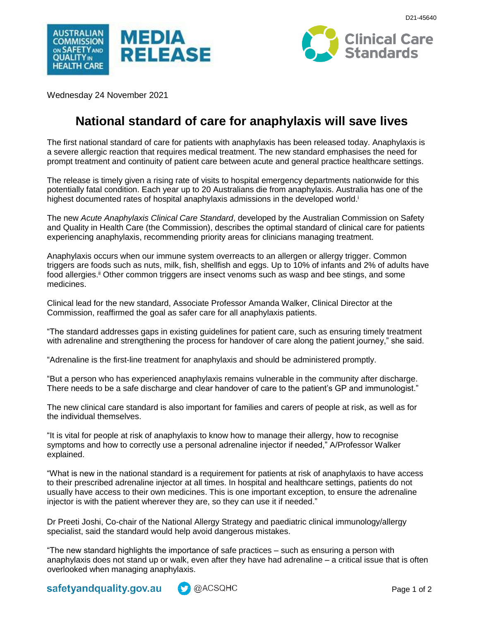





Wednesday 24 November 2021

# **National standard of care for anaphylaxis will save lives**

The first national standard of care for patients with anaphylaxis has been released today. Anaphylaxis is a severe allergic reaction that requires medical treatment. The new standard emphasises the need for prompt treatment and continuity of patient care between acute and general practice healthcare settings.

The release is timely given a rising rate of visits to hospital emergency departments nationwide for this potentially fatal condition. Each year up to 20 Australians die from anaphylaxis. Australia has one of the highest documented rates of hospital anaphylaxis admissions in the developed world.<sup>i</sup>

The new *Acute Anaphylaxis Clinical Care Standard*, developed by the Australian Commission on Safety and Quality in Health Care (the Commission), describes the optimal standard of clinical care for patients experiencing anaphylaxis, recommending priority areas for clinicians managing treatment.

Anaphylaxis occurs when our immune system overreacts to an allergen or allergy trigger. Common triggers are foods such as nuts, milk, fish, shellfish and eggs. Up to 10% of infants and 2% of adults have food allergies.<sup>ii</sup> Other common triggers are insect venoms such as wasp and bee stings, and some medicines.

Clinical lead for the new standard, Associate Professor Amanda Walker, Clinical Director at the Commission, reaffirmed the goal as safer care for all anaphylaxis patients.

"The standard addresses gaps in existing guidelines for patient care, such as ensuring timely treatment with adrenaline and strengthening the process for handover of care along the patient journey," she said.

"Adrenaline is the first-line treatment for anaphylaxis and should be administered promptly.

"But a person who has experienced anaphylaxis remains vulnerable in the community after discharge. There needs to be a safe discharge and clear handover of care to the patient's GP and immunologist."

The new clinical care standard is also important for families and carers of people at risk, as well as for the individual themselves.

"It is vital for people at risk of anaphylaxis to know how to manage their allergy, how to recognise symptoms and how to correctly use a personal adrenaline injector if needed," A/Professor Walker explained.

"What is new in the national standard is a requirement for patients at risk of anaphylaxis to have access to their prescribed adrenaline injector at all times. In hospital and healthcare settings, patients do not usually have access to their own medicines. This is one important exception, to ensure the adrenaline injector is with the patient wherever they are, so they can use it if needed."

Dr Preeti Joshi, Co-chair of the National Allergy Strategy and paediatric clinical immunology/allergy specialist, said the standard would help avoid dangerous mistakes.

"The new standard highlights the importance of safe practices – such as ensuring a person with anaphylaxis does not stand up or walk, even after they have had adrenaline – a critical issue that is often overlooked when managing anaphylaxis.

safetyandquality.gov.au **M** @ACSQHC